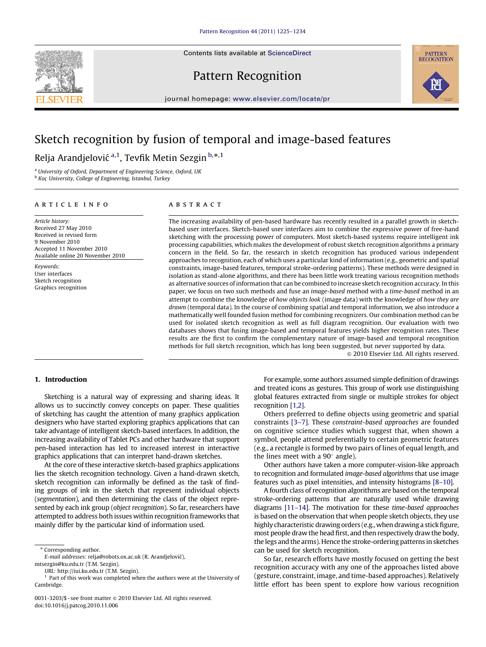Contents lists available at ScienceDirect



Pattern Recognition



journal homepage: <www.elsevier.com/locate/pr>

# Sketch recognition by fusion of temporal and image-based features

Relja Arandjelović <sup>a,1</sup>, Tevfik Metin Sezgin <sup>b,\*,1</sup>

<sup>a</sup> University of Oxford, Department of Engineering Science, Oxford, UK b Koç- University, College of Engineering, Istanbul, Turkey

#### article info

Article history: Received 27 May 2010 Received in revised form 9 November 2010 Accepted 11 November 2010 Available online 20 November 2010

Keywords: User interfaces Sketch recognition Graphics recognition

# ABSTRACT

The increasing availability of pen-based hardware has recently resulted in a parallel growth in sketchbased user interfaces. Sketch-based user interfaces aim to combine the expressive power of free-hand sketching with the processing power of computers. Most sketch-based systems require intelligent ink processing capabilities, which makes the development of robust sketch recognition algorithms a primary concern in the field. So far, the research in sketch recognition has produced various independent approaches to recognition, each of which uses a particular kind of information (e.g., geometric and spatial constraints, image-based features, temporal stroke-ordering patterns). These methods were designed in isolation as stand-alone algorithms, and there has been little work treating various recognition methods as alternative sources of information that can be combined to increase sketch recognition accuracy. In this paper, we focus on two such methods and fuse an image-based method with a time-based method in an attempt to combine the knowledge of how objects look (image data) with the knowledge of how they are drawn (temporal data). In the course of combining spatial and temporal information, we also introduce a mathematically well founded fusion method for combining recognizers. Our combination method can be used for isolated sketch recognition as well as full diagram recognition. Our evaluation with two databases shows that fusing image-based and temporal features yields higher recognition rates. These results are the first to confirm the complementary nature of image-based and temporal recognition methods for full sketch recognition, which has long been suggested, but never supported by data.

 $\odot$  2010 Elsevier Ltd. All rights reserved.

# 1. Introduction

Sketching is a natural way of expressing and sharing ideas. It allows us to succinctly convey concepts on paper. These qualities of sketching has caught the attention of many graphics application designers who have started exploring graphics applications that can take advantage of intelligent sketch-based interfaces. In addition, the increasing availability of Tablet PCs and other hardware that support pen-based interaction has led to increased interest in interactive graphics applications that can interpret hand-drawn sketches.

At the core of these interactive sketch-based graphics applications lies the sketch recognition technology. Given a hand-drawn sketch, sketch recognition can informally be defined as the task of finding groups of ink in the sketch that represent individual objects (segmentation), and then determining the class of the object represented by each ink group (object recognition). So far, researchers have attempted to address both issues within recognition frameworks that mainly differ by the particular kind of information used.

URL: [http://iui.ku.edu.tr \(T.M. Sezgin\)](mailto:http://iui.ku.edu.tr).

For example, some authors assumed simple definition of drawings and treated icons as gestures. This group of work use distinguishing global features extracted from single or multiple strokes for object recognition [\[1,2\].](#page-8-0)

Others preferred to define objects using geometric and spatial constraints [\[3–7\].](#page-8-0) These constraint-based approaches are founded on cognitive science studies which suggest that, when shown a symbol, people attend preferentially to certain geometric features (e.g., a rectangle is formed by two pairs of lines of equal length, and the lines meet with a  $90^\circ$  angle).

Other authors have taken a more computer-vision-like approach to recognition and formulated image-based algorithms that use image features such as pixel intensities, and intensity histograms [\[8–10\].](#page-8-0)

A fourth class of recognition algorithms are based on the temporal stroke-ordering patterns that are naturally used while drawing diagrams [\[11–14\].](#page-9-0) The motivation for these time-based approaches is based on the observation that when people sketch objects, they use highly characteristic drawing orders (e.g., when drawing a stick figure, most people draw the head first, and then respectively draw the body, the legs and the arms). Hence the stroke-ordering patterns in sketches can be used for sketch recognition.

So far, research efforts have mostly focused on getting the best recognition accuracy with any one of the approaches listed above (gesture, constraint, image, and time-based approaches). Relatively little effort has been spent to explore how various recognition

<sup>\*</sup> Corresponding author.

E-mail addresses: [relja@robots.ox.ac.uk \(R. Arandjelovic´\),](mailto:relja@robots.ox.ac.uk) [mtsezgin@ku.edu.tr \(T.M. Sezgin\).](mailto:mtsezgin@ku.edu.tr)

 $1$  Part of this work was completed when the authors were at the University of Cambridge.

<sup>0031-3203/\$ -</sup> see front matter © 2010 Elsevier Ltd. All rights reserved. doi:[10.1016/j.patcog.2010.11.006](dx.doi.org/10.1016/j.patcog.2010.11.006)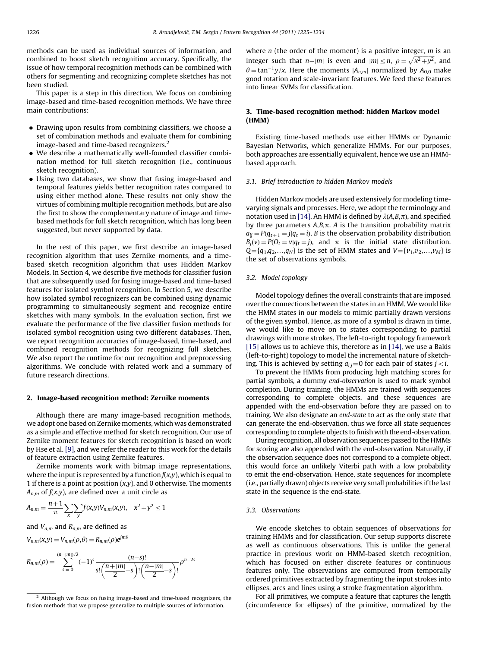methods can be used as individual sources of information, and combined to boost sketch recognition accuracy. Specifically, the issue of how temporal recognition methods can be combined with others for segmenting and recognizing complete sketches has not been studied.

This paper is a step in this direction. We focus on combining image-based and time-based recognition methods. We have three main contributions:

- Drawing upon results from combining classifiers, we choose a set of combination methods and evaluate them for combining image-based and time-based recognizers.2
- We describe a mathematically well-founded classifier combination method for full sketch recognition (i.e., continuous sketch recognition).
- Using two databases, we show that fusing image-based and temporal features yields better recognition rates compared to using either method alone. These results not only show the virtues of combining multiple recognition methods, but are also the first to show the complementary nature of image and timebased methods for full sketch recognition, which has long been suggested, but never supported by data.

In the rest of this paper, we first describe an image-based recognition algorithm that uses Zernike moments, and a timebased sketch recognition algorithm that uses Hidden Markov Models. In Section 4, we describe five methods for classifier fusion that are subsequently used for fusing image-based and time-based features for isolated symbol recognition. In Section 5, we describe how isolated symbol recognizers can be combined using dynamic programming to simultaneously segment and recognize entire sketches with many symbols. In the evaluation section, first we evaluate the performance of the five classifier fusion methods for isolated symbol recognition using two different databases. Then, we report recognition accuracies of image-based, time-based, and combined recognition methods for recognizing full sketches. We also report the runtime for our recognition and preprocessing algorithms. We conclude with related work and a summary of future research directions.

#### 2. Image-based recognition method: Zernike moments

Although there are many image-based recognition methods, we adopt one based on Zernike moments, which was demonstrated as a simple and effective method for sketch recognition. Our use of Zernike moment features for sketch recognition is based on work by Hse et al. [\[9\],](#page-8-0) and we refer the reader to this work for the details of feature extraction using Zernike features.

Zernike moments work with bitmap image representations, where the input is represented by a function  $f(x,y)$ , which is equal to 1 if there is a point at position  $(x,y)$ , and 0 otherwise. The moments  $A_{n,m}$  of  $f(x,y)$ , are defined over a unit circle as

$$
A_{n,m} = \frac{n+1}{\pi} \sum_{x} \sum_{y} f(x,y) V_{n,m}(x,y), \quad x^2 + y^2 \le 1
$$

and  $V_{n,m}$  and  $R_{n,m}$  are defined as

 $V_{n,m}(x,y) = V_{n,m}(\rho,\theta) = R_{n,m}(\rho)e^{jm\theta}$ 

$$
R_{n,m}(\rho) = \sum_{s=0}^{(n-|m|)/2} (-1)^s \frac{(n-s)!}{s! \left(\frac{n+|m|}{2}-s\right)! \left(\frac{n-|m|}{2}-s\right)!} \rho^{n-2s}
$$

where  $n$  (the order of the moment) is a positive integer,  $m$  is an integer such that  $n-|m|$  is even and  $|m| \le n$ ,  $\rho = \sqrt{x^2+y^2}$ , and  $\theta = \tan^{-1} y/x$ . Here the moments  $|A_{n,m}|$  normalized by  $A_{0,0}$  make good rotation and scale-invariant features. We feed these features into linear SVMs for classification.

# 3. Time-based recognition method: hidden Markov model (HMM)

Existing time-based methods use either HMMs or Dynamic Bayesian Networks, which generalize HMMs. For our purposes, both approaches are essentially equivalent, hence we use an HMMbased approach.

#### 3.1. Brief introduction to hidden Markov models

Hidden Markov models are used extensively for modeling timevarying signals and processes. Here, we adopt the terminology and notation used in [\[14\]](#page-9-0). An HMM is defined by  $\lambda(A,B,\pi)$ , and specified by three parameters  $A,B,\pi$ . A is the transition probability matrix  $a_{ij} = P(q_{t+1} = j | q_t = i)$ , B is the observation probability distribution  $B_i(v) = P(O_t = v | q_t = j)$ , and  $\pi$  is the initial state distribution.  $Q = \{q_1, q_2,...,q_N\}$  is the set of HMM states and  $V = \{v_1, v_2,...,v_M\}$  is the set of observations symbols.

#### 3.2. Model topology

Model topology defines the overall constraints that are imposed over the connections between the states in an HMM. We would like the HMM states in our models to mimic partially drawn versions of the given symbol. Hence, as more of a symbol is drawn in time, we would like to move on to states corresponding to partial drawings with more strokes. The left-to-right topology framework [\[15\]](#page-9-0) allows us to achieve this, therefore as in [\[14\]](#page-9-0), we use a Bakis (left-to-right) topology to model the incremental nature of sketching. This is achieved by setting  $a_{ij}=0$  for each pair of states  $j < i$ .

To prevent the HMMs from producing high matching scores for partial symbols, a dummy end-observation is used to mark symbol completion. During training, the HMMs are trained with sequences corresponding to complete objects, and these sequences are appended with the end-observation before they are passed on to training. We also designate an end-state to act as the only state that can generate the end-observation, thus we force all state sequences corresponding to complete objects to finish with the end-observation.

During recognition, all observation sequences passed to the HMMs for scoring are also appended with the end-observation. Naturally, if the observation sequence does not correspond to a complete object, this would force an unlikely Viterbi path with a low probability to emit the end-observation. Hence, state sequences for incomplete (i.e., partially drawn) objects receive very small probabilities if the last state in the sequence is the end-state.

## 3.3. Observations

We encode sketches to obtain sequences of observations for training HMMs and for classification. Our setup supports discrete as well as continuous observations. This is unlike the general practice in previous work on HMM-based sketch recognition, which has focused on either discrete features or continuous features only. The observations are computed from temporally ordered primitives extracted by fragmenting the input strokes into ellipses, arcs and lines using a stroke fragmentation algorithm.

For all primitives, we compute a feature that captures the length (circumference for ellipses) of the primitive, normalized by the

<sup>&</sup>lt;sup>2</sup> Although we focus on fusing image-based and time-based recognizers, the fusion methods that we propose generalize to multiple sources of information.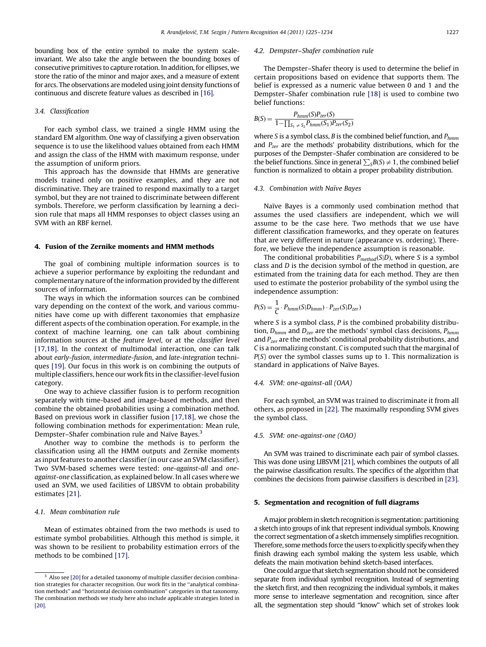bounding box of the entire symbol to make the system scaleinvariant. We also take the angle between the bounding boxes of consecutive primitives to capture rotation. In addition, for ellipses, we store the ratio of the minor and major axes, and a measure of extent for arcs. The observations are modeled using joint density functions of continuous and discrete feature values as described in [\[16\].](#page-9-0)

#### 3.4. Classification

For each symbol class, we trained a single HMM using the standard EM algorithm. One way of classifying a given observation sequence is to use the likelihood values obtained from each HMM and assign the class of the HMM with maximum response, under the assumption of uniform priors.

This approach has the downside that HMMs are generative models trained only on positive examples, and they are not discriminative. They are trained to respond maximally to a target symbol, but they are not trained to discriminate between different symbols. Therefore, we perform classification by learning a decision rule that maps all HMM responses to object classes using an SVM with an RBF kernel.

# 4. Fusion of the Zernike moments and HMM methods

The goal of combining multiple information sources is to achieve a superior performance by exploiting the redundant and complementary nature of the information provided by the different sources of information.

The ways in which the information sources can be combined vary depending on the context of the work, and various communities have come up with different taxonomies that emphasize different aspects of the combination operation. For example, in the context of machine learning, one can talk about combining information sources at the feature level, or at the classifier level [\[17,18\].](#page-9-0) In the context of multimodal interaction, one can talk about early-fusion, intermediate-fusion, and late-integration techniques [\[19\].](#page-9-0) Our focus in this work is on combining the outputs of multiple classifiers, hence our work fits in the classifier-level fusion category.

One way to achieve classifier fusion is to perform recognition separately with time-based and image-based methods, and then combine the obtained probabilities using a combination method. Based on previous work in classifier fusion [\[17,18\]](#page-9-0), we chose the following combination methods for experimentation: Mean rule, Dempster–Shafer combination rule and Naïve Bayes.<sup>3</sup>

Another way to combine the methods is to perform the classification using all the HMM outputs and Zernike moments as input features to another classifier (in our case an SVM classifier). Two SVM-based schemes were tested: one-against-all and oneagainst-one classification, as explained below. In all cases where we used an SVM, we used facilities of LIBSVM to obtain probability estimates [\[21\].](#page-9-0)

## 4.1. Mean combination rule

Mean of estimates obtained from the two methods is used to estimate symbol probabilities. Although this method is simple, it was shown to be resilient to probability estimation errors of the methods to be combined [\[17\].](#page-9-0)

#### 4.2. Dempster–Shafer combination rule

The Dempster–Shafer theory is used to determine the belief in certain propositions based on evidence that supports them. The belief is expressed as a numeric value between 0 and 1 and the Dempster–Shafer combination rule [\[18\]](#page-9-0) is used to combine two belief functions:

$$
B(S) = \frac{P_{hmm}(S)P_{zer}(S)}{1 - \prod_{S_1 \neq S_2} P_{hmm}(S_1)P_{zer}(S_2)}
$$

where S is a symbol class, B is the combined belief function, and  $P_{hmm}$ and  $P_{zer}$  are the methods' probability distributions, which for the purposes of the Dempster–Shafer combination are considered to be the belief functions. Since in general  $\sum_{S} B(S) \neq 1$ , the combined belief function is normalized to obtain a proper probability distribution.

#### 4.3. Combination with Naïve Bayes

Naïve Bayes is a commonly used combination method that assumes the used classifiers are independent, which we will assume to be the case here. Two methods that we use have different classification frameworks, and they operate on features that are very different in nature (appearance vs. ordering). Therefore, we believe the independence assumption is reasonable.

The conditional probabilities  $P_{method}(S|D)$ , where S is a symbol class and D is the decision symbol of the method in question, are estimated from the training data for each method. They are then used to estimate the posterior probability of the symbol using the independence assumption:

$$
P(S) = \frac{1}{C} \cdot P_{hmm}(S|D_{hmm}) \cdot P_{zer}(S|D_{zer})
$$

where S is a symbol class,  $P$  is the combined probability distribution,  $D_{hmm}$  and  $D_{zer}$  are the methods' symbol class decisions,  $P_{hmm}$ and  $P_{zer}$  are the methods' conditional probability distributions, and C is a normalizing constant. C is computed such that the marginal of  $P(S)$  over the symbol classes sums up to 1. This normalization is standard in applications of Naïve Bayes.

#### 4.4. SVM: one-against-all (OAA)

For each symbol, an SVM was trained to discriminate it from all others, as proposed in [\[22\].](#page-9-0) The maximally responding SVM gives the symbol class.

### 4.5. SVM: one-against-one (OAO)

An SVM was trained to discriminate each pair of symbol classes. This was done using LIBSVM [\[21\],](#page-9-0) which combines the outputs of all the pairwise classification results. The specifics of the algorithm that combines the decisions from pairwise classifiers is described in [\[23\].](#page-9-0)

#### 5. Segmentation and recognition of full diagrams

Amajor problem in sketch recognition is segmentation: partitioning a sketch into groups of ink that represent individual symbols. Knowing the correct segmentation of a sketch immensely simplifies recognition. Therefore, some methods force the users to explicitly specify when they finish drawing each symbol making the system less usable, which defeats the main motivation behind sketch-based interfaces.

One could argue that sketch segmentation should not be considered separate from individual symbol recognition. Instead of segmenting the sketch first, and then recognizing the individual symbols, it makes more sense to interleave segmentation and recognition, since after all, the segmentation step should ''know'' which set of strokes look

<sup>&</sup>lt;sup>3</sup> Also see [\[20\]](#page-9-0) for a detailed taxonomy of multiple classifier decision combination strategies for character recognition. Our work fits in the ''analytical combination methods'' and ''horizontal decision combination'' categories in that taxonomy. The combination methods we study here also include applicable strategies listed in [\[20\].](#page-9-0)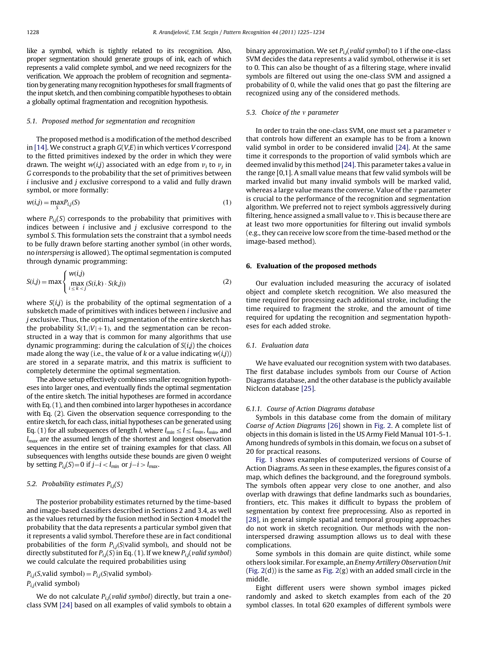like a symbol, which is tightly related to its recognition. Also, proper segmentation should generate groups of ink, each of which represents a valid complete symbol, and we need recognizers for the verification. We approach the problem of recognition and segmentation by generating many recognition hypotheses for small fragments of the input sketch, and then combining compatible hypotheses to obtain a globally optimal fragmentation and recognition hypothesis.

### 5.1. Proposed method for segmentation and recognition

The proposed method is a modification of the method described in [\[14\].](#page-9-0) We construct a graph  $G(V,E)$  in which vertices V correspond to the fitted primitives indexed by the order in which they were drawn. The weight  $w(i,j)$  associated with an edge from  $v_i$  to  $v_j$  in G corresponds to the probability that the set of primitives between  $i$  inclusive and  $j$  exclusive correspond to a valid and fully drawn symbol, or more formally:

$$
w(i,j) = \max_{S} P_{i,j}(S) \tag{1}
$$

where  $P_{i,j}(S)$  corresponds to the probability that primitives with indices between  $i$  inclusive and  $j$  exclusive correspond to the symbol S. This formulation sets the constraint that a symbol needs to be fully drawn before starting another symbol (in other words, no interspersing is allowed). The optimal segmentation is computed through dynamic programming:

$$
S(i,j) = \max \left\{ \max_{\substack{i \le k < j}} (S(i,k) \cdot S(k,j)) \right\} \tag{2}
$$

where  $S(i,j)$  is the probability of the optimal segmentation of a subsketch made of primitives with indices between *i* inclusive and  $j$  exclusive. Thus, the optimal segmentation of the entire sketch has the probability  $S(1, |V| + 1)$ , and the segmentation can be reconstructed in a way that is common for many algorithms that use dynamic programming: during the calculation of  $S(i,j)$  the choices made along the way (i.e., the value of k or a value indicating  $w(i,j)$ ) are stored in a separate matrix, and this matrix is sufficient to completely determine the optimal segmentation.

The above setup effectively combines smaller recognition hypotheses into larger ones, and eventually finds the optimal segmentation of the entire sketch. The initial hypotheses are formed in accordance with Eq. (1), and then combined into larger hypotheses in accordance with Eq. (2). Given the observation sequence corresponding to the entire sketch, for each class, initial hypotheses can be generated using Eq. (1) for all subsequences of length *l*, where  $l_{min} \le l \le l_{max}$ ,  $l_{min}$ , and  $l_{max}$  are the assumed length of the shortest and longest observation sequences in the entire set of training examples for that class. All subsequences with lengths outside these bounds are given 0 weight by setting  $P_{i,j}(S) = 0$  if  $j-i < l_{min}$  or  $j-i > l_{max}$ .

## 5.2. Probability estimates  $P_{i,j}(S)$

The posterior probability estimates returned by the time-based and image-based classifiers described in Sections 2 and 3.4, as well as the values returned by the fusion method in Section 4 model the probability that the data represents a particular symbol given that it represents a valid symbol. Therefore these are in fact conditional probabilities of the form  $P_{i,j}(S|$ valid symbol), and should not be directly substituted for  $P_{i,j}(S)$  in Eq. (1). If we knew  $P_{i,j}(valid\ symbol)$ we could calculate the required probabilities using

 $P_{i,j}(S,\text{valid symbol}) = P_{i,j}(S|\text{valid symbol})$  $P_{i,j}$ (valid symbol)

We do not calculate  $P_{i,j}(valid\ symbol)$  directly, but train a oneclass SVM [\[24\]](#page-9-0) based on all examples of valid symbols to obtain a binary approximation. We set  $P_{i,j}(valid\ symbol)$  to 1 if the one-class SVM decides the data represents a valid symbol, otherwise it is set to 0. This can also be thought of as a filtering stage, where invalid symbols are filtered out using the one-class SVM and assigned a probability of 0, while the valid ones that go past the filtering are recognized using any of the considered methods.

## 5.3. Choice of the  $v$  parameter

In order to train the one-class SVM, one must set a parameter  $v$ that controls how different an example has to be from a known valid symbol in order to be considered invalid [\[24\].](#page-9-0) At the same time it corresponds to the proportion of valid symbols which are deemed invalid by this method [\[24\]](#page-9-0). This parameter takes a value in the range [0,1]. A small value means that few valid symbols will be marked invalid but many invalid symbols will be marked valid, whereas a large value means the converse. Value of the  $\nu$  parameter is crucial to the performance of the recognition and segmentation algorithm. We preferred not to reject symbols aggressively during filtering, hence assigned a small value to  $v$ . This is because there are at least two more opportunities for filtering out invalid symbols (e.g., they can receive low score from the time-based method or the image-based method).

#### 6. Evaluation of the proposed methods

Our evaluation included measuring the accuracy of isolated object and complete sketch recognition. We also measured the time required for processing each additional stroke, including the time required to fragment the stroke, and the amount of time required for updating the recognition and segmentation hypotheses for each added stroke.

# 6.1. Evaluation data

We have evaluated our recognition system with two databases. The first database includes symbols from our Course of Action Diagrams database, and the other database is the publicly available NicIcon database [\[25\]](#page-9-0).

## 6.1.1. Course of Action Diagrams database

Symbols in this database come from the domain of military Coarse of Action Diagrams [\[26\]](#page-9-0) shown in [Fig. 2.](#page-4-0) A complete list of objects in this domain is listed in the US Army Field Manual 101-5-1. Among hundreds of symbols in this domain, we focus on a subset of 20 for practical reasons.

[Fig. 1](#page-4-0) shows examples of computerized versions of Course of Action Diagrams. As seen in these examples, the figures consist of a map, which defines the background, and the foreground symbols. The symbols often appear very close to one another, and also overlap with drawings that define landmarks such as boundaries, frontiers, etc. This makes it difficult to bypass the problem of segmentation by context free preprocessing. Also as reported in [\[28\]](#page-9-0), in general simple spatial and temporal grouping approaches do not work in sketch recognition. Our methods with the noninterspersed drawing assumption allows us to deal with these complications.

Some symbols in this domain are quite distinct, while some others look similar. For example, an Enemy Artillery Observation Unit (Fig.  $2(d)$ ) is the same as Fig.  $2(g)$  with an added small circle in the middle.

Eight different users were shown symbol images picked randomly and asked to sketch examples from each of the 20 symbol classes. In total 620 examples of different symbols were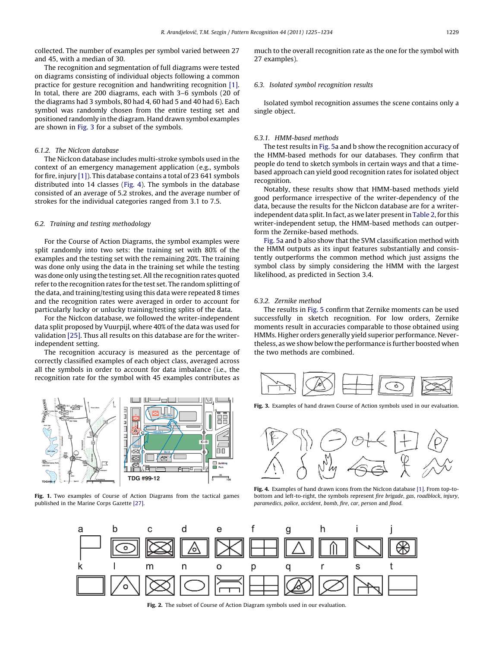<span id="page-4-0"></span>collected. The number of examples per symbol varied between 27 and 45, with a median of 30.

The recognition and segmentation of full diagrams were tested on diagrams consisting of individual objects following a common practice for gesture recognition and handwriting recognition [\[1\].](#page-8-0) In total, there are 200 diagrams, each with 3–6 symbols (20 of the diagrams had 3 symbols, 80 had 4, 60 had 5 and 40 had 6). Each symbol was randomly chosen from the entire testing set and positioned randomly in the diagram. Hand drawn symbol examples are shown in Fig. 3 for a subset of the symbols.

# 6.1.2. The NicIcon database

The NicIcon database includes multi-stroke symbols used in the context of an emergency management application (e.g., symbols for fire, injury [\[1\]\)](#page-8-0). This database contains a total of 23 641 symbols distributed into 14 classes (Fig. 4). The symbols in the database consisted of an average of 5.2 strokes, and the average number of strokes for the individual categories ranged from 3.1 to 7.5.

## 6.2. Training and testing methodology

For the Course of Action Diagrams, the symbol examples were split randomly into two sets: the training set with 80% of the examples and the testing set with the remaining 20%. The training was done only using the data in the training set while the testing was done only using the testing set. All the recognition rates quoted refer to the recognition rates for the test set. The random splitting of the data, and training/testing using this data were repeated 8 times and the recognition rates were averaged in order to account for particularly lucky or unlucky training/testing splits of the data.

For the NicIcon database, we followed the writer-independent data split proposed by Vuurpijl, where 40% of the data was used for validation [\[25\]](#page-9-0). Thus all results on this database are for the writerindependent setting.

The recognition accuracy is measured as the percentage of correctly classified examples of each object class, averaged across all the symbols in order to account for data imbalance (i.e., the recognition rate for the symbol with 45 examples contributes as



Fig. 1. Two examples of Course of Action Diagrams from the tactical games published in the Marine Corps Gazette [\[27\].](#page-9-0)

much to the overall recognition rate as the one for the symbol with 27 examples).

## 6.3. Isolated symbol recognition results

Isolated symbol recognition assumes the scene contains only a single object.

## 6.3.1. HMM-based methods

The test results in [Fig. 5a](#page-5-0) and b show the recognition accuracy of the HMM-based methods for our databases. They confirm that people do tend to sketch symbols in certain ways and that a timebased approach can yield good recognition rates for isolated object recognition.

Notably, these results show that HMM-based methods yield good performance irrespective of the writer-dependency of the data, because the results for the NicIcon database are for a writerindependent data split. In fact, as we later present in [Table 2,](#page-5-0) for this writer-independent setup, the HMM-based methods can outperform the Zernike-based methods.

[Fig. 5](#page-5-0)a and b also show that the SVM classification method with the HMM outputs as its input features substantially and consistently outperforms the common method which just assigns the symbol class by simply considering the HMM with the largest likelihood, as predicted in Section 3.4.

#### 6.3.2. Zernike method

The results in [Fig. 5](#page-5-0) confirm that Zernike moments can be used successfully in sketch recognition. For low orders, Zernike moments result in accuracies comparable to those obtained using HMMs. Higher orders generally yield superior performance. Nevertheless, as we show below the performance is further boosted when the two methods are combined.



Fig. 3. Examples of hand drawn Course of Action symbols used in our evaluation.



Fig. 4. Examples of hand drawn icons from the NicIcon database [\[1\].](#page-8-0) From top-tobottom and left-to-right, the symbols represent fire brigade, gas, roadblock, injury, paramedics, police, accident, bomb, fire, car, person and flood.



Fig. 2. The subset of Course of Action Diagram symbols used in our evaluation.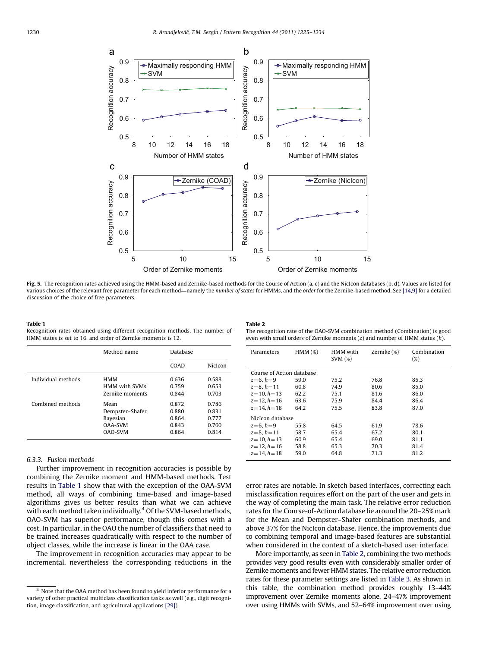<span id="page-5-0"></span>

Fig. 5. The recognition rates achieved using the HMM-based and Zernike-based methods for the Course of Action (a, c) and the NicIcon databases (b, d). Values are listed for various choices of the relevant free parameter for each method—namely the number of states for HMMs, and the order for the Zernike-based method. See [\[14,9\]](#page-9-0) for a detailed discussion of the choice of free parameters.

#### Table 1

Recognition rates obtained using different recognition methods. The number of HMM states is set to 16, and order of Zernike moments is 12.

|--|--|

The recognition rate of the OAO-SVM combination method (Combination) is good even with small orders of Zernike moments  $(z)$  and number of HMM states  $(h)$ .

|                    | Method name          | Database |                |
|--------------------|----------------------|----------|----------------|
|                    |                      | COAD     | <b>NicIcon</b> |
| Individual methods | <b>HMM</b>           | 0.636    | 0.588          |
|                    | <b>HMM</b> with SVMs | 0.759    | 0.653          |
|                    | Zernike moments      | 0.844    | 0.703          |
| Combined methods   | Mean                 | 0.872    | 0.786          |
|                    | Dempster-Shafer      | 0.880    | 0.831          |
|                    | Bayesian             | 0.864    | 0.777          |
|                    | OAA-SVM              | 0.843    | 0.760          |
|                    | OAO-SVM              | 0.864    | 0.814          |

## 6.3.3. Fusion methods

Further improvement in recognition accuracies is possible by combining the Zernike moment and HMM-based methods. Test results in Table 1 show that with the exception of the OAA-SVM method, all ways of combining time-based and image-based algorithms gives us better results than what we can achieve with each method taken individually.<sup>4</sup> Of the SVM-based methods, OAO-SVM has superior performance, though this comes with a cost. In particular, in the OAO the number of classifiers that need to be trained increases quadratically with respect to the number of object classes, while the increase is linear in the OAA case.

The improvement in recognition accuracies may appear to be incremental, nevertheless the corresponding reductions in the

| Parameters                | $HMM(\%)$ | HMM with<br>SVM(%) | Zernike (%) | Combination<br>$(\%)$ |  |
|---------------------------|-----------|--------------------|-------------|-----------------------|--|
| Course of Action database |           |                    |             |                       |  |
| $z=6, h=9$                | 59.0      | 75.2               | 76.8        | 85.3                  |  |
| $z=8, h=11$               | 60.8      | 74.9               | 80.6        | 85.0                  |  |
| $z = 10$ , $h = 13$       | 62.2      | 75.1               | 81.6        | 86.0                  |  |
| $z = 12, h = 16$          | 63.6      | 75.9               | 84.4        | 86.4                  |  |
| $z = 14$ , $h = 18$       | 64.2      | 75.5               | 83.8        | 87.0                  |  |
| NicIcon database          |           |                    |             |                       |  |
| $z = 6, h = 9$            | 55.8      | 64.5               | 61.9        | 78.6                  |  |
| $z = 8, h = 11$           | 58.7      | 65.4               | 67.2        | 80.1                  |  |
| $z = 10$ , $h = 13$       | 60.9      | 65.4               | 69.0        | 81.1                  |  |
| $z = 12, h = 16$          | 58.8      | 65.3               | 70.3        | 81.4                  |  |
| $z = 14$ , $h = 18$       | 59.0      | 64.8               | 71.3        | 81.2                  |  |

error rates are notable. In sketch based interfaces, correcting each misclassification requires effort on the part of the user and gets in the way of completing the main task. The relative error reduction rates for the Course-of-Action database lie around the 20–25% mark for the Mean and Dempster–Shafer combination methods, and above 37% for the NicIcon database. Hence, the improvements due to combining temporal and image-based features are substantial when considered in the context of a sketch-based user interface.

More importantly, as seen in Table 2, combining the two methods provides very good results even with considerably smaller order of Zernike moments and fewer HMM states. The relative error reduction rates for these parameter settings are listed in [Table 3.](#page-6-0) As shown in this table, the combination method provides roughly 13–44% improvement over Zernike moments alone, 24–47% improvement over using HMMs with SVMs, and 52–64% improvement over using

Note that the OAA method has been found to yield inferior performance for a variety of other practical multiclass classification tasks as well (e.g., digit recognition, image classification, and agricultural applications [\[29\]](#page-9-0)).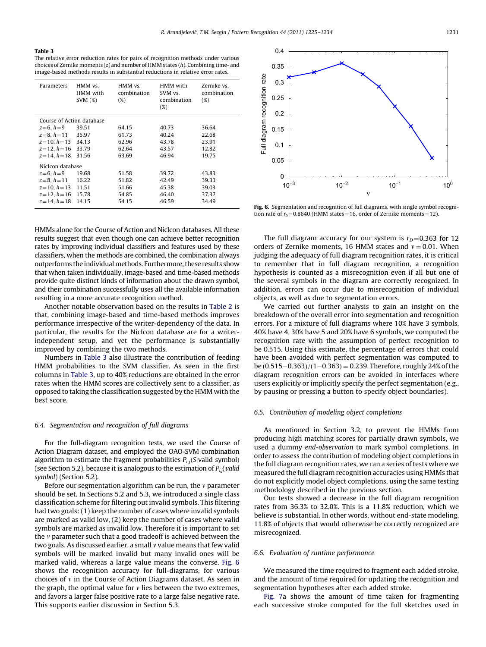#### <span id="page-6-0"></span>Table 3

The relative error reduction rates for pairs of recognition methods under various choices of Zernike moments  $(z)$  and number of HMM states  $(h)$ . Combining time- and image-based methods results in substantial reductions in relative error rates.

| Parameters                | HMM vs.<br>HMM with<br>SVM(%) | HMM vs.<br>combination<br>(%) | HMM with<br>SVM vs.<br>combination<br>(%) | Zernike vs.<br>combination<br>(%) |
|---------------------------|-------------------------------|-------------------------------|-------------------------------------------|-----------------------------------|
| Course of Action database |                               |                               |                                           |                                   |
| $z = 6, h = 9$            | 39.51                         | 64.15                         | 40.73                                     | 36.64                             |
| $z = 8, h = 11$           | 35.97                         | 61.73                         | 40.24                                     | 22.68                             |
| $z = 10$ , $h = 13$       | 34.13                         | 62.96                         | 43.78                                     | 23.91                             |
| $z = 12$ , $h = 16$       | 33.79                         | 62.64                         | 43.57                                     | 12.82                             |
| $z = 14$ , $h = 18$       | 31.56                         | 63.69                         | 46.94                                     | 19.75                             |
| NicIcon database          |                               |                               |                                           |                                   |
| $z = 6, h = 9$            | 19.68                         | 51.58                         | 39.72                                     | 43.83                             |
| $z = 8, h = 11$           | 16.22                         | 51.82                         | 42.49                                     | 39.33                             |
| $z=10, h=13$              | 11.51                         | 51.66                         | 45.38                                     | 39.03                             |
| $z = 12$ , $h = 16$       | 15.78                         | 54.85                         | 46.40                                     | 37.37                             |
| $z = 14$ , $h = 18$       | 14.15                         | 54.15                         | 46.59                                     | 34.49                             |

HMMs alone for the Course of Action and NicIcon databases. All these results suggest that even though one can achieve better recognition rates by improving individual classifiers and features used by these classifiers, when the methods are combined, the combination always outperforms the individual methods. Furthermore, these results show that when taken individually, image-based and time-based methods provide quite distinct kinds of information about the drawn symbol, and their combination successfully uses all the available information resulting in a more accurate recognition method.

Another notable observation based on the results in [Table 2](#page-5-0) is that, combining image-based and time-based methods improves performance irrespective of the writer-dependency of the data. In particular, the results for the NicIcon database are for a writerindependent setup, and yet the performance is substantially improved by combining the two methods.

Numbers in Table 3 also illustrate the contribution of feeding HMM probabilities to the SVM classifier. As seen in the first columns in Table 3, up to 40% reductions are obtained in the error rates when the HMM scores are collectively sent to a classifier, as opposed to taking the classification suggested by the HMM with the best score.

# 6.4. Segmentation and recognition of full diagrams

For the full-diagram recognition tests, we used the Course of Action Diagram dataset, and employed the OAO-SVM combination algorithm to estimate the fragment probabilities  $P_{i,j}(S|$ valid symbol) (see Section 5.2), because it is analogous to the estimation of  $P_{i,j}(valid)$ symbol) (Section 5.2).

Before our segmentation algorithm can be run, the  $\nu$  parameter should be set. In Sections 5.2 and 5.3, we introduced a single class classification scheme for filtering out invalid symbols. This filtering had two goals: (1) keep the number of cases where invalid symbols are marked as valid low, (2) keep the number of cases where valid symbols are marked as invalid low. Therefore it is important to set the  $\nu$  parameter such that a good tradeoff is achieved between the two goals. As discussed earlier, a small  $\nu$  value means that few valid symbols will be marked invalid but many invalid ones will be marked valid, whereas a large value means the converse. Fig. 6 shows the recognition accuracy for full-diagrams, for various choices of  $\nu$  in the Course of Action Diagrams dataset. As seen in the graph, the optimal value for  $\nu$  lies between the two extremes, and favors a larger false positive rate to a large false negative rate. This supports earlier discussion in Section 5.3.



Fig. 6. Segmentation and recognition of full diagrams, with single symbol recognition rate of  $r_S = 0.8640$  (HMM states = 16, order of Zernike moments = 12).

The full diagram accuracy for our system is  $r_D = 0.363$  for 12 orders of Zernike moments, 16 HMM states and  $v = 0.01$ . When judging the adequacy of full diagram recognition rates, it is critical to remember that in full diagram recognition, a recognition hypothesis is counted as a misrecognition even if all but one of the several symbols in the diagram are correctly recognized. In addition, errors can occur due to misrecognition of individual objects, as well as due to segmentation errors.

We carried out further analysis to gain an insight on the breakdown of the overall error into segmentation and recognition errors. For a mixture of full diagrams where 10% have 3 symbols, 40% have 4, 30% have 5 and 20% have 6 symbols, we computed the recognition rate with the assumption of perfect recognition to be 0.515. Using this estimate, the percentage of errors that could have been avoided with perfect segmentation was computed to be  $(0.515-0.363)/(1-0.363) = 0.239$ . Therefore, roughly 24% of the diagram recognition errors can be avoided in interfaces where users explicitly or implicitly specify the perfect segmentation (e.g., by pausing or pressing a button to specify object boundaries).

#### 6.5. Contribution of modeling object completions

As mentioned in Section 3.2, to prevent the HMMs from producing high matching scores for partially drawn symbols, we used a dummy end-observation to mark symbol completions. In order to assess the contribution of modeling object completions in the full diagram recognition rates, we ran a series of tests where we measured the full diagram recognition accuracies using HMMs that do not explicitly model object completions, using the same testing methodology described in the previous section.

Our tests showed a decrease in the full diagram recognition rates from 36.3% to 32.0%. This is a 11.8% reduction, which we believe is substantial. In other words, without end-state modeling, 11.8% of objects that would otherwise be correctly recognized are misrecognized.

#### 6.6. Evaluation of runtime performance

We measured the time required to fragment each added stroke, and the amount of time required for updating the recognition and segmentation hypotheses after each added stroke.

[Fig. 7a](#page-7-0) shows the amount of time taken for fragmenting each successive stroke computed for the full sketches used in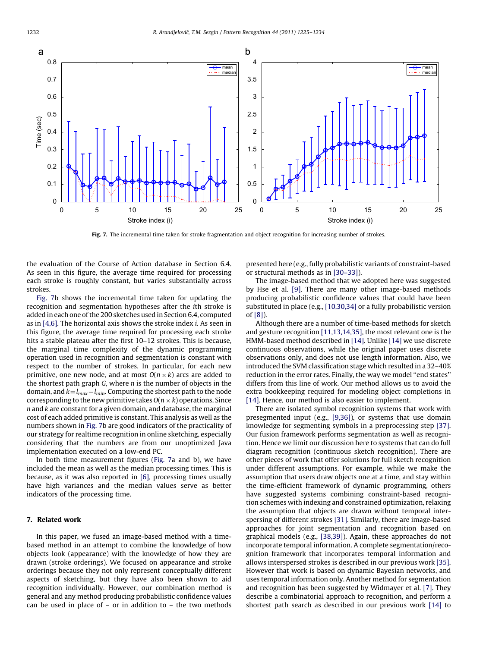<span id="page-7-0"></span>

Fig. 7. The incremental time taken for stroke fragmentation and object recognition for increasing number of strokes.

the evaluation of the Course of Action database in Section 6.4. As seen in this figure, the average time required for processing each stroke is roughly constant, but varies substantially across strokes.

Fig. 7b shows the incremental time taken for updating the recognition and segmentation hypotheses after the ith stroke is added in each one of the 200 sketches used in Section 6.4, computed as in [\[4,6\]](#page-8-0). The horizontal axis shows the stroke index i. As seen in this figure, the average time required for processing each stroke hits a stable plateau after the first 10–12 strokes. This is because, the marginal time complexity of the dynamic programming operation used in recognition and segmentation is constant with respect to the number of strokes. In particular, for each new primitive, one new node, and at most  $O(n \times k)$  arcs are added to the shortest path graph  $G$ , where  $n$  is the number of objects in the domain, and  $k=l_{max}-l_{min}$ . Computing the shortest path to the node corresponding to the new primitive takes  $O(n \times k)$  operations. Since  $n$  and  $k$  are constant for a given domain, and database, the marginal cost of each added primitive is constant. This analysis as well as the numbers shown in Fig. 7b are good indicators of the practicality of our strategy for realtime recognition in online sketching, especially considering that the numbers are from our unoptimized Java implementation executed on a low-end PC.

In both time measurement figures (Fig. 7a and b), we have included the mean as well as the median processing times. This is because, as it was also reported in [\[6\],](#page-8-0) processing times usually have high variances and the median values serve as better indicators of the processing time.

## 7. Related work

In this paper, we fused an image-based method with a timebased method in an attempt to combine the knowledge of how objects look (appearance) with the knowledge of how they are drawn (stroke orderings). We focused on appearance and stroke orderings because they not only represent conceptually different aspects of sketching, but they have also been shown to aid recognition individually. However, our combination method is general and any method producing probabilistic confidence values can be used in place of  $-$  or in addition to  $-$  the two methods

presented here (e.g., fully probabilistic variants of constraint-based or structural methods as in [\[30–33\]\)](#page-9-0).

The image-based method that we adopted here was suggested by Hse et al. [\[9\].](#page-8-0) There are many other image-based methods producing probabilistic confidence values that could have been substituted in place (e.g., [\[10,30,34\]](#page-8-0) or a fully probabilistic version of [\[8\]\)](#page-8-0).

Although there are a number of time-based methods for sketch and gesture recognition [\[11,13,14,35\],](#page-9-0) the most relevant one is the HMM-based method described in [\[14\]](#page-9-0). Unlike [\[14\]](#page-9-0) we use discrete continuous observations, while the original paper uses discrete observations only, and does not use length information. Also, we introduced the SVM classification stage which resulted in a 32–40% reduction in the error rates. Finally, the way we model ''end states'' differs from this line of work. Our method allows us to avoid the extra bookkeeping required for modeling object completions in [\[14\]](#page-9-0). Hence, our method is also easier to implement.

There are isolated symbol recognition systems that work with presegmented input (e.g., [\[9,36\]\)](#page-8-0), or systems that use domain knowledge for segmenting symbols in a preprocessing step [\[37\].](#page-9-0) Our fusion framework performs segmentation as well as recognition. Hence we limit our discussion here to systems that can do full diagram recognition (continuous sketch recognition). There are other pieces of work that offer solutions for full sketch recognition under different assumptions. For example, while we make the assumption that users draw objects one at a time, and stay within the time-efficient framework of dynamic programming, others have suggested systems combining constraint-based recognition schemes with indexing and constrained optimization, relaxing the assumption that objects are drawn without temporal interspersing of different strokes [\[31\].](#page-9-0) Similarly, there are image-based approaches for joint segmentation and recognition based on graphical models (e.g., [\[38,39\]](#page-9-0)). Again, these approaches do not incorporate temporal information. A complete segmentation/recognition framework that incorporates temporal information and allows interspersed strokes is described in our previous work [\[35\].](#page-9-0) However that work is based on dynamic Bayesian networks, and uses temporal information only. Another method for segmentation and recognition has been suggested by Widmayer et al. [\[7\].](#page-8-0) They describe a combinatorial approach to recognition, and perform a shortest path search as described in our previous work [\[14\]](#page-9-0) to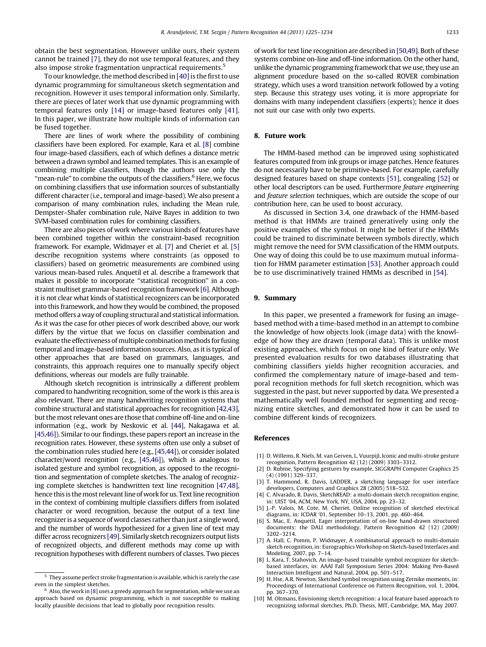<span id="page-8-0"></span>obtain the best segmentation. However unlike ours, their system cannot be trained [7], they do not use temporal features, and they also impose stroke fragmentation unpractical requirements.<sup>5</sup>

To our knowledge, the method described in  $[40]$  is the first to use dynamic programming for simultaneous sketch segmentation and recognition. However it uses temporal information only. Similarly, there are pieces of later work that use dynamic programming with temporal features only [\[14\]](#page-9-0) or image-based features only [\[41\].](#page-9-0) In this paper, we illustrate how multiple kinds of information can be fused together.

There are lines of work where the possibility of combining classifiers have been explored. For example, Kara et al. [8] combine four image-based classifiers, each of which defines a distance metric between a drawn symbol and learned templates. This is an example of combining multiple classifiers, though the authors use only the "mean-rule" to combine the outputs of the classifiers.<sup>6</sup> Here, we focus on combining classifiers that use information sources of substantially different character (i.e., temporal and image-based). We also present a comparison of many combination rules, including the Mean rule, Dempster–Shafer combination rule, Naïve Bayes in addition to two SVM-based combination rules for combining classifiers.

There are also pieces of work where various kinds of features have been combined together within the constraint-based recognition framework. For example, Widmayer et al. [7] and Cheriet et al. [5] describe recognition systems where constraints (as opposed to classifiers) based on geometric measurements are combined using various mean-based rules. Anquetil et al. describe a framework that makes it possible to incorporate ''statistical recognition'' in a constraint multiset grammar-based recognition framework [6]. Although it is not clear what kinds of statistical recognizers can be incorporated into this framework, and how they would be combined, the proposed method offers a way of coupling structural and statistical information. As it was the case for other pieces of work described above, our work differs by the virtue that we focus on classifier combination and evaluate the effectiveness of multiple combination methods for fusing temporal and image-based information sources. Also, as it is typical of other approaches that are based on grammars, languages, and constraints, this approach requires one to manually specify object definitions, whereas our models are fully trainable.

Although sketch recognition is intrinsically a different problem compared to handwriting recognition, some of the work is this area is also relevant. There are many handwriting recognition systems that combine structural and statistical approaches for recognition [\[42,43\],](#page-9-0) but the most relevant ones are those that combine off-line and on-line information (e.g., work by Neskovic et al. [\[44\]](#page-9-0), Nakagawa et al. [\[45,46\]\)](#page-9-0). Similar to our findings, these papers report an increase in the recognition rates. However, these systems often use only a subset of the combination rules studied here (e.g., [\[45,44\]](#page-9-0)), or consider isolated character/word recognition (e.g., [\[45,46\]](#page-9-0)), which is analogous to isolated gesture and symbol recognition, as opposed to the recognition and segmentation of complete sketches. The analog of recognizing complete sketches is handwritten text line recognition [\[47,48\],](#page-9-0) hence this is the most relevant line of work for us. Text line recognition in the context of combining multiple classifiers differs from isolated character or word recognition, because the output of a text line recognizer is a sequence of word classes rather than just a single word, and the number of words hypothesized for a given line of text may differ across recognizers [\[49\]](#page-9-0). Similarly sketch recognizers output lists of recognized objects, and different methods may come up with recognition hypotheses with different numbers of classes. Two pieces of work for text line recognition are described in [\[50,49\].](#page-9-0) Both of these systems combine on-line and off-line information. On the other hand, unlike the dynamic programming framework that we use, they use an alignment procedure based on the so-called ROVER combination strategy, which uses a word transition network followed by a voting step. Because this strategy uses voting, it is more appropriate for domains with many independent classifiers (experts); hence it does not suit our case with only two experts.

## 8. Future work

The HMM-based method can be improved using sophisticated features computed from ink groups or image patches. Hence features do not necessarily have to be primitive-based. For example, carefully designed features based on shape contexts [\[51\],](#page-9-0) congealing [\[52\]](#page-9-0) or other local descriptors can be used. Furthermore feature engineering and feature selection techniques, which are outside the scope of our contribution here, can be used to boost accuracy.

As discussed in Section 3.4, one drawback of the HMM-based method is that HMMs are trained generatively using only the positive examples of the symbol. It might be better if the HMMs could be trained to discriminate between symbols directly, which might remove the need for SVM classification of the HMM outputs. One way of doing this could be to use maximum mutual information for HMM parameter estimation [\[53\].](#page-9-0) Another approach could be to use discriminatively trained HMMs as described in [\[54\]](#page-9-0).

## 9. Summary

In this paper, we presented a framework for fusing an imagebased method with a time-based method in an attempt to combine the knowledge of how objects look (image data) with the knowledge of how they are drawn (temporal data). This is unlike most existing approaches, which focus on one kind of feature only. We presented evaluation results for two databases illustrating that combining classifiers yields higher recognition accuracies, and confirmed the complementary nature of image-based and temporal recognition methods for full sketch recognition, which was suggested in the past, but never supported by data. We presented a mathematically well founded method for segmenting and recognizing entire sketches, and demonstrated how it can be used to combine different kinds of recognizers.

## References

- [1] D. Willems, R. Niels, M. van Gerven, L. Vuurpijl, Iconic and multi-stroke gesture recognition, Pattern Recognition 42 (12) (2009) 3303–3312.
- D. Rubine, Specifying gestures by example, SIGGRAPH Computer Graphics 25 (4) (1991) 329–337.
- [3] T. Hammond, R. Davis, LADDER, a sketching language for user interface developers, Computers and Graphics 28 (2005) 518–532.
- [4] C. Alvarado, R. Davis, SketchREAD: a multi-domain sketch recognition engine, in: UIST '04, ACM, New York, NY, USA, 2004, pp. 23–32.
- [5] J.-P. Valois, M. Cote, M. Cheriet, Online recognition of sketched electrical diagrams, in: ICDAR '01, September 10–13, 2001, pp. 460–464.
- S. Mac, E. Anquetil, Eager interpretation of on-line hand-drawn structured documents: the DALI methodology, Pattern Recognition 42 (12) (2009) 3202–3214.
- [7] A. Hall, C. Pomm, P. Widmayer, A combinatorial approach to multi-domain sketch recognition, in: Eurographics Workshop on Sketch-based Interfaces and Modeling, 2007, pp. 7–14.
- L. Kara, T. Stahovich, An image-based trainable symbol recognizer for sketchbased interfaces, in: AAAI Fall Symposium Series 2004: Making Pen-Based Interaction Intelligent and Natural, 2004, pp. 501–517.
- [9] H. Hse, A.R. Newton, Sketched symbol recognition using Zernike moments, in: Proceedings of International Conference on Pattern Recognition, vol. 1, 2004, pp. 367–370.
- [10] M. Oltmans, Envisioning sketch recognition: a local feature based approach to recognizing informal sketches, Ph.D. Thesis, MIT, Cambridge, MA, May 2007.

<sup>5</sup> They assume perfect stroke fragmentation is available, which is rarely the case even in the simplest sketches.

 $^6\,$  Also, the work in [8] uses a greedy approach for segmentation, while we use an approach based on dynamic programming, which is not susceptible to making locally plausible decisions that lead to globally poor recognition results.